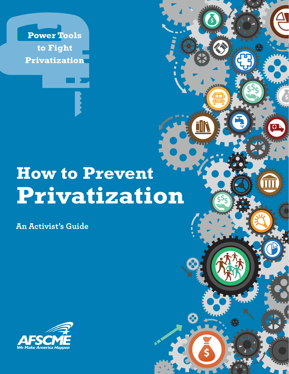**Power Tools to Fight Privatization**

# **How to Prevent Privatization**

|<br>|-

**An Activist's Guide**

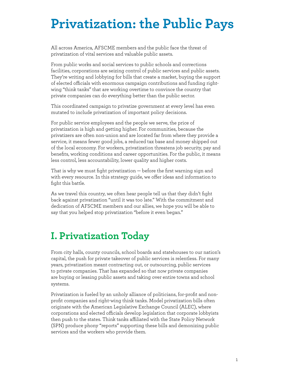## **Privatization: the Public Pays**

All across America, AFSCME members and the public face the threat of privatization of vital services and valuable public assets.

From public works and social services to public schools and corrections facilities, corporations are seizing control of public services and public assets. They're writing and lobbying for bills that create a market, buying the support of elected officials with enormous campaign contributions and funding rightwing "think tanks" that are working overtime to convince the country that private companies can do everything better than the public sector.

This coordinated campaign to privatize government at every level has even mutated to include privatization of important policy decisions.

For public service employees and the people we serve, the price of privatization is high and getting higher. For communities, because the privatizers are often non-union and are located far from where they provide a service, it means fewer good jobs, a reduced tax base and money shipped out of the local economy. For workers, privatization threatens job security, pay and benefits, working conditions and career opportunities. For the public, it means less control, less accountability, lower quality and higher costs.

That is why we must fight privatization — before the first warning sign and with every resource. In this strategy guide, we offer ideas and information to fight this battle.

As we travel this country, we often hear people tell us that they didn't fight back against privatization "until it was too late." With the commitment and dedication of AFSCME members and our allies, we hope you will be able to say that you helped stop privatization "before it even began."

## **I. Privatization Today**

From city halls, county councils, school boards and statehouses to our nation's capital, the push for private takeover of public services is relentless. For many years, privatization meant contracting out, or outsourcing, public services to private companies. That has expanded so that now private companies are buying or leasing public assets and taking over entire towns and school systems.

Privatization is fueled by an unholy alliance of politicians, for-profit and nonprofit companies and right-wing think tanks. Model privatization bills often originate with the American Legislative Exchange Council (ALEC), where corporations and elected officials develop legislation that corporate lobbyists then push to the states. Think tanks affiliated with the State Policy Network (SPN) produce phony "reports" supporting these bills and demonizing public services and the workers who provide them.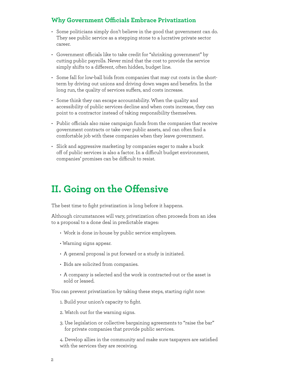#### **Why Government Officials Embrace Privatization**

- Some politicians simply don't believe in the good that government can do. They see public service as a stepping stone to a lucrative private sector career.
- Government officials like to take credit for "shrinking government" by cutting public payrolls. Never mind that the cost to provide the service simply shifts to a different, often hidden, budget line.
- Some fall for low-ball bids from companies that may cut costs in the shortterm by driving out unions and driving down wages and benefits. In the long run, the quality of services suffers, and costs increase.
- Some think they can escape accountability. When the quality and accessibility of public services decline and when costs increase, they can point to a contractor instead of taking responsibility themselves.
- Public officials also raise campaign funds from the companies that receive government contracts or take over public assets, and can often find a comfortable job with these companies when they leave government.
- Slick and aggressive marketing by companies eager to make a buck off of public services is also a factor. In a difficult budget environment, companies' promises can be difficult to resist.

## **II. Going on the Offensive**

The best time to fight privatization is long before it happens.

Although circumstances will vary, privatization often proceeds from an idea to a proposal to a done deal in predictable stages:

- Work is done in-house by public service employees.
- Warning signs appear.
- A general proposal is put forward or a study is initiated.
- Bids are solicited from companies.
- A company is selected and the work is contracted-out or the asset is sold or leased.

You can prevent privatization by taking these steps, starting right now:

- 1. Build your union's capacity to fight.
- 2. Watch out for the warning signs.
- 3. Use legislation or collective bargaining agreements to "raise the bar" for private companies that provide public services.

4. Develop allies in the community and make sure taxpayers are satisfied with the services they are receiving.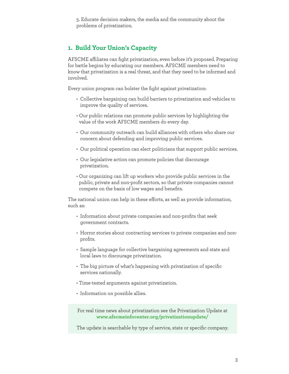5. Educate decision makers, the media and the community about the problems of privatization.

#### **1. Build Your Union's Capacity**

AFSCME affiliates can fight privatization, even before it's proposed. Preparing for battle begins by educating our members. AFSCME members need to know that privatization is a real threat, and that they need to be informed and involved.

Every union program can bolster the fight against privatization:

- Collective bargaining can build barriers to privatization and vehicles to improve the quality of services.
- Our public relations can promote public services by highlighting the value of the work AFSCME members do every day.
- Our community outreach can build alliances with others who share our concern about defending and improving public services.
- Our political operation can elect politicians that support public services.
- Our legislative action can promote policies that discourage privatization.
- Our organizing can lift up workers who provide public services in the public, private and non-profit sectors, so that private companies cannot compete on the basis of low wages and benefits.

The national union can help in these efforts, as well as provide information, such as:

- Information about private companies and non-profits that seek government contracts.
- Horror stories about contracting services to private companies and nonprofits.
- Sample language for collective bargaining agreements and state and local laws to discourage privatization.
- The big picture of what's happening with privatization of specific services nationally.
- Time-tested arguments against privatization.
- Information on possible allies.

For real time news about privatization see the Privatization Update at **www.afscmeinfocenter.org/privatizationupdate/**

The update is searchable by type of service, state or specific company.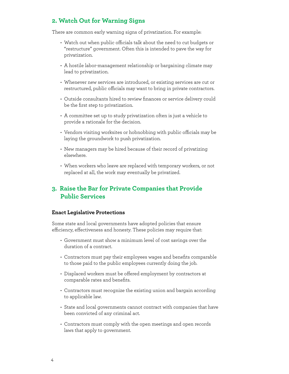#### **2. Watch Out for Warning Signs**

There are common early warning signs of privatization. For example:

- Watch out when public officials talk about the need to cut budgets or "restructure" government. Often this is intended to pave the way for privatization.
- A hostile labor-management relationship or bargaining climate may lead to privatization.
- Whenever new services are introduced, or existing services are cut or restructured, public officials may want to bring in private contractors.
- Outside consultants hired to review finances or service delivery could be the first step to privatization.
- A committee set up to study privatization often is just a vehicle to provide a rationale for the decision.
- Vendors visiting worksites or hobnobbing with public officials may be laying the groundwork to push privatization.
- New managers may be hired because of their record of privatizing elsewhere.
- When workers who leave are replaced with temporary workers, or not replaced at all, the work may eventually be privatized.

#### **3. Raise the Bar for Private Companies that Provide Public Services**

#### **Enact Legislative Protections**

Some state and local governments have adopted policies that ensure efficiency, effectiveness and honesty. These policies may require that:

- Government must show a minimum level of cost savings over the duration of a contract.
- Contractors must pay their employees wages and benefits comparable to those paid to the public employees currently doing the job.
- Displaced workers must be offered employment by contractors at comparable rates and benefits.
- Contractors must recognize the existing union and bargain according to applicable law.
- State and local governments cannot contract with companies that have been convicted of any criminal act.
- Contractors must comply with the open meetings and open records laws that apply to government.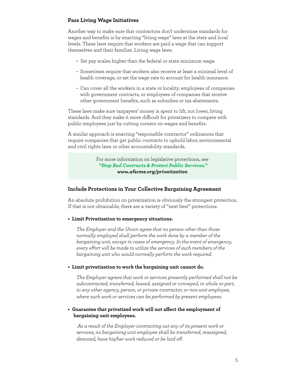#### **Pass Living Wage Initiatives**

Another way to make sure that contractors don't undermine standards for wages and benefits is by enacting "living wage" laws at the state and local levels. These laws require that workers are paid a wage that can support themselves and their families. Living wage laws:

- Set pay scales higher than the federal or state minimum wage.
- Sometimes require that workers also receive at least a minimal level of health coverage, or set the wage rate to account for health insurance.
- Can cover all the workers in a state or locality, employees of companies with government contracts, or employees of companies that receive other government benefits, such as subsidies or tax abatements.

These laws make sure taxpayers' money is spent to lift, not lower, living standards. And they make it more difficult for privatizers to compete with public employees just by cutting corners on wages and benefits.

A similar approach is enacting "responsible contractor" ordinances that require companies that get public contracts to uphold labor, environmental and civil rights laws or other accountability standards.

> For more information on legislative protections, see *"Stop Bad Contracts & Protect Public Services." www.afscme.org/privatization*

#### **Include Protections in Your Collective Bargaining Agreement**

An absolute prohibition on privatization is obviously the strongest protection. If that is not obtainable, there are a variety of "next best" protections:

**• Limit Privatization to emergency situations.** 

*The Employer and the Union agree that no person other than those normally employed shall perform the work done by a member of the bargaining unit, except in cases of emergency. In the event of emergency, every effort will be made to utilize the services of such members of the bargaining unit who would normally perform the work required.*

**• Limit privatization to work the bargaining unit cannot do.**

*The Employer agrees that work or services presently performed shall not be subcontracted, transferred, leased, assigned or conveyed, in whole or part, to any other agency, person, or private contractor, or non-unit employee, where such work or services can be performed by present employees.*

#### **• Guarantee that privatized work will not affect the employment of bargaining unit employees.**

 *As a result of the Employer contracting out any of its present work or services, no bargaining unit employee shall be transferred, reassigned, demoted, have his/her work reduced or be laid off.*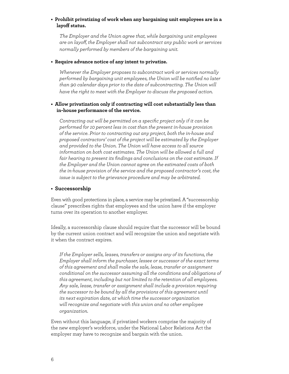#### **• Prohibit privatizing of work when any bargaining unit employees are in a layoff status.**

*The Employer and the Union agree that, while bargaining unit employees are on layoff, the Employer shall not subcontract any public work or services normally performed by members of the bargaining unit.*

#### **• Require advance notice of any intent to privatize.**

*Whenever the Employer proposes to subcontract work or services normally performed by bargaining unit employees, the Union will be notified no later than 90 calendar days prior to the date of subcontracting. The Union will have the right to meet with the Employer to discuss the proposed action.*

#### **• Allow privatization only if contracting will cost substantially less than in-house performance of the service.**

*Contracting out will be permitted on a specific project only if it can be performed for 10 percent less in cost than the present in-house provision of the service. Prior to contracting out any project, both the in-house and proposed contractors' cost of the project will be estimated by the Employer and provided to the Union. The Union will have access to all source information on both cost estimates. The Union will be allowed a full and fair hearing to present its findings and conclusions on the cost estimate. If the Employer and the Union cannot agree on the estimated costs of both the in-house provision of the service and the proposed contractor's cost, the issue is subject to the grievance procedure and may be arbitrated.*

#### **• Successorship**

Even with good protections in place, a service may be privatized. A "successorship clause" prescribes rights that employees and the union have if the employer turns over its operation to another employer.

Ideally, a successorship clause should require that the successor will be bound by the current union contract and will recognize the union and negotiate with it when the contract expires.

*If the Employer sells, leases, transfers or assigns any of its functions, the Employer shall inform the purchaser, lessee or successor of the exact terms of this agreement and shall make the sale, lease, transfer or assignment conditional on the successor assuming all the conditions and obligations of this agreement, including but not limited to the retention of all employees. Any sale, lease, transfer or assignment shall include a provision requiring the successor to be bound by all the provisions of this agreement until its next expiration date, at which time the successor organization will recognize and negotiate with this union and no other employee organization.*

Even without this language, if privatized workers comprise the majority of the new employer's workforce, under the National Labor Relations Act the employer may have to recognize and bargain with the union.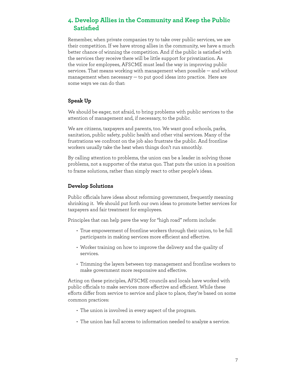#### **4. Develop Allies in the Community and Keep the Public Satisfied**

Remember, when private companies try to take over public services, we are their competition. If we have strong allies in the community, we have a much better chance of winning the competition. And if the public is satisfied with the services they receive there will be little support for privatization. As the voice for employees, AFSCME must lead the way in improving public services. That means working with management when possible — and without management when necessary — to put good ideas into practice. Here are some ways we can do that:

#### **Speak Up**

We should be eager, not afraid, to bring problems with public services to the attention of management and, if necessary, to the public.

We are citizens, taxpayers and parents, too. We want good schools, parks, sanitation, public safety, public health and other vital services. Many of the frustrations we confront on the job also frustrate the public. And frontline workers usually take the heat when things don't run smoothly.

By calling attention to problems, the union can be a leader in solving those problems, not a supporter of the status quo. That puts the union in a position to frame solutions, rather than simply react to other people's ideas.

#### **Develop Solutions**

Public officials have ideas about reforming government, frequently meaning shrinking it. We should put forth our own ideas to promote better services for taxpayers and fair treatment for employees.

Principles that can help pave the way for "high road" reform include:

- True empowerment of frontline workers through their union, to be full participants in making services more efficient and effective.
- Worker training on how to improve the delivery and the quality of services.
- Trimming the layers between top management and frontline workers to make government more responsive and effective.

Acting on these principles, AFSCME councils and locals have worked with public officials to make services more effective and efficient. While these efforts differ from service to service and place to place, they're based on some common practices:

- The union is involved in every aspect of the program.
- The union has full access to information needed to analyze a service.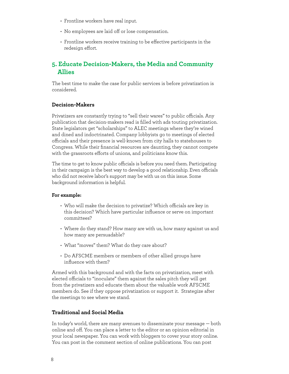- Frontline workers have real input.
- No employees are laid off or lose compensation.
- Frontline workers receive training to be effective participants in the redesign effort.

#### **5. Educate Decision-Makers, the Media and Community Allies**

The best time to make the case for public services is before privatization is considered.

#### **Decision-Makers**

Privatizers are constantly trying to "sell their wares" to public officials. Any publication that decision-makers read is filled with ads touting privatization. State legislators get "scholarships" to ALEC meetings where they're wined and dined and indoctrinated. Company lobbyists go to meetings of elected officials and their presence is well-known from city halls to statehouses to Congress. While their financial resources are daunting, they cannot compete with the grassroots efforts of unions, and politicians know this.

The time to get to know public officials is before you need them. Participating in their campaign is the best way to develop a good relationship. Even officials who did not receive labor's support may be with us on this issue. Some background information is helpful.

#### **For example:**

- Who will make the decision to privatize? Which officials are key in this decision? Which have particular influence or serve on important committees?
- Where do they stand? How many are with us, how many against us and how many are persuadable?
- What "moves" them? What do they care about?
- Do AFSCME members or members of other allied groups have influence with them?

Armed with this background and with the facts on privatization, meet with elected officials to "inoculate" them against the sales pitch they will get from the privatizers and educate them about the valuable work AFSCME members do. See if they oppose privatization or support it. Strategize after the meetings to see where we stand.

#### **Traditional and Social Media**

In today's world, there are many avenues to disseminate your message — both online and off. You can place a letter to the editor or an opinion editorial in your local newspaper. You can work with bloggers to cover your story online. You can post in the comment section of online publications. You can post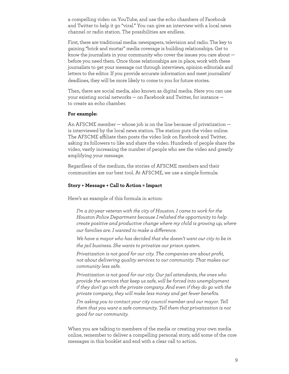a compelling video on YouTube, and use the echo chambers of Facebook and Twitter to help it go "viral." You can give an interview with a local news channel or radio station. The possibilities are endless.

First, there are traditional media: newspapers, television and radio. The key to gaining "brick and mortar" media coverage is building relationships. Get to know the journalists in your community who cover the issues you care about before you need them. Once those relationships are in place, work with these journalists to get your message out through interviews, opinion editorials and letters to the editor. If you provide accurate information and meet journalists' deadlines, they will be more likely to come to you for future stories.

Then, there are social media, also known as digital media. Here you can use your existing social networks — on Facebook and Twitter, for instance to create an echo chamber.

#### **For example:**

An AFSCME member — whose job is on the line because of privatization is interviewed by the local news station. The station puts the video online. The AFSCME affiliate then posts the video link on Facebook and Twitter, asking its followers to like and share the video. Hundreds of people share the video, vastly increasing the number of people who see the video and greatly amplifying your message.

Regardless of the medium, the stories of AFSCME members and their communities are our best tool. At AFSCME, we use a simple formula:

#### **Story + Message + Call to Action = Impact**

Here's an example of this formula in action:

*I'm a 20-year veteran with the city of Houston. I came to work for the Houston Police Department because I relished the opportunity to help create positive and productive change where my child is growing up, where our families are. I wanted to make a difference.* 

*We have a mayor who has decided that she doesn't want our city to be in the jail business. She wants to privatize our prison system.* 

*Privatization is not good for our city. The companies are about profit, not about delivering quality services to our community. That makes our community less safe.* 

*Privatization is not good for our city. Our jail attendants, the ones who provide the services that keep us safe, will be forced into unemployment if they don't go with the private company. And even if they do go with the private company, they will make less money and get fewer benefits.* 

*I'm asking you to contact your city council member and our mayor. Tell them that you want a safe community. Tell them that privatization is not good for our community.* 

When you are talking to members of the media or creating your own media online, remember to deliver a compelling personal story, add some of the core messages in this booklet and end with a clear call to action.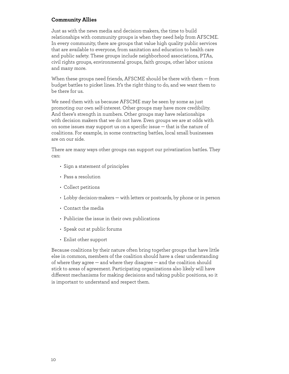#### **Community Allies**

Just as with the news media and decision-makers, the time to build relationships with community groups is when they need help from AFSCME. In every community, there are groups that value high quality public services that are available to everyone, from sanitation and education to health care and public safety. These groups include neighborhood associations, PTAs, civil rights groups, environmental groups, faith groups, other labor unions and many more.

When these groups need friends, AFSCME should be there with them — from budget battles to picket lines. It's the right thing to do, and we want them to be there for us.

We need them with us because AFSCME may be seen by some as just promoting our own self-interest. Other groups may have more credibility. And there's strength in numbers. Other groups may have relationships with decision makers that we do not have. Even groups we are at odds with on some issues may support us on a specific issue — that is the nature of coalitions. For example, in some contracting battles, local small businesses are on our side.

There are many ways other groups can support our privatization battles. They can:

- Sign a statement of principles
- Pass a resolution
- Collect petitions
- Lobby decision-makers with letters or postcards, by phone or in person
- Contact the media
- Publicize the issue in their own publications
- Speak out at public forums
- Enlist other support

Because coalitions by their nature often bring together groups that have little else in common, members of the coalition should have a clear understanding of where they agree — and where they disagree — and the coalition should stick to areas of agreement. Participating organizations also likely will have different mechanisms for making decisions and taking public positions, so it is important to understand and respect them.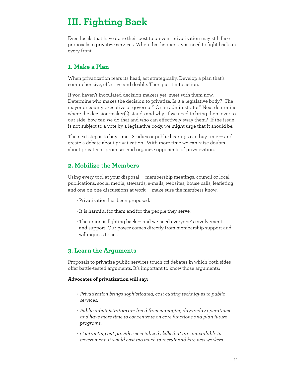## **III. Fighting Back**

Even locals that have done their best to prevent privatization may still face proposals to privatize services. When that happens, you need to fight back on every front.

#### **1. Make a Plan**

When privatization rears its head, act strategically. Develop a plan that's comprehensive, effective and doable. Then put it into action.

If you haven't inoculated decision-makers yet, meet with them now. Determine who makes the decision to privatize. Is it a legislative body? The mayor or county executive or governor? Or an administrator? Next determine where the decision-maker(s) stands and why. If we need to bring them over to our side, how can we do that and who can effectively sway them? If the issue is not subject to a vote by a legislative body, we might urge that it should be.

The next step is to buy time. Studies or public hearings can buy time — and create a debate about privatization. With more time we can raise doubts about privateers' promises and organize opponents of privatization.

#### **2. Mobilize the Members**

Using every tool at your disposal — membership meetings, council or local publications, social media, stewards, e-mails, websites, house calls, leafleting and one-on-one discussions at work — make sure the members know:

- Privatization has been proposed.
- It is harmful for them and for the people they serve.
- The union is fighting back and we need everyone's involvement and support. Our power comes directly from membership support and willingness to act.

#### **3. Learn the Arguments**

Proposals to privatize public services touch off debates in which both sides offer battle-tested arguments. It's important to know those arguments:

#### **Advocates of privatization will say:**

- *Privatization brings sophisticated, cost-cutting techniques to public services.*
- *Public administrators are freed from managing day-to-day operations and have more time to concentrate on core functions and plan future programs.*
- *Contracting out provides specialized skills that are unavailable in government. It would cost too much to recruit and hire new workers.*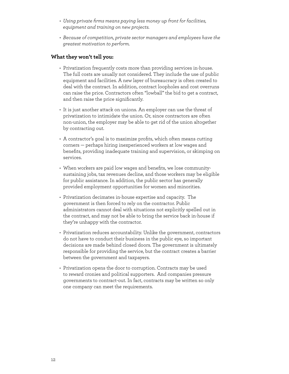- *Using private firms means paying less money up front for facilities, equipment and training on new projects.*
- *Because of competition, private sector managers and employees have the greatest motivation to perform.*

#### **What they won't tell you:**

- Privatization frequently costs more than providing services in-house. The full costs are usually not considered. They include the use of public equipment and facilities. A new layer of bureaucracy is often created to deal with the contract. In addition, contract loopholes and cost overruns can raise the price. Contractors often "lowball" the bid to get a contract, and then raise the price significantly.
- It is just another attack on unions. An employer can use the threat of privatization to intimidate the union. Or, since contractors are often non-union, the employer may be able to get rid of the union altogether by contracting out.
- A contractor's goal is to maximize profits, which often means cutting corners — perhaps hiring inexperienced workers at low wages and benefits, providing inadequate training and supervision, or skimping on services.
- When workers are paid low wages and benefits, we lose communitysustaining jobs, tax revenues decline, and those workers may be eligible for public assistance. In addition, the public sector has generally provided employment opportunities for women and minorities.
- Privatization decimates in-house expertise and capacity. The government is then forced to rely on the contractor. Public administrators cannot deal with situations not explicitly spelled out in the contract, and may not be able to bring the service back in-house if they're unhappy with the contractor.
- Privatization reduces accountability. Unlike the government, contractors do not have to conduct their business in the public eye, so important decisions are made behind closed doors. The government is ultimately responsible for providing the service, but the contract creates a barrier between the government and taxpayers.
- Privatization opens the door to corruption. Contracts may be used to reward cronies and political supporters. And companies pressure governments to contract-out. In fact, contracts may be written so only one company can meet the requirements.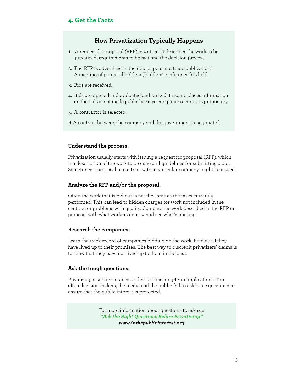#### **4. Get the Facts**

#### **How Privatization Typically Happens**

- 1. A request for proposal (RFP) is written. It describes the work to be privatized, requirements to be met and the decision process.
- 2. The RFP is advertised in the newspapers and trade publications. A meeting of potential bidders ("bidders' conference") is held.
- 3. Bids are received.
- 4. Bids are opened and evaluated and ranked. In some places information on the bids is not made public because companies claim it is proprietary.
- 5. A contractor is selected.
- 6. A contract between the company and the government is negotiated.

#### **Understand the process.**

Privatization usually starts with issuing a request for proposal (RFP), which is a description of the work to be done and guidelines for submitting a bid. Sometimes a proposal to contract with a particular company might be issued.

#### **Analyze the RFP and/or the proposal.**

Often the work that is bid out is not the same as the tasks currently performed. This can lead to hidden charges for work not included in the contract or problems with quality. Compare the work described in the RFP or proposal with what workers do now and see what's missing.

#### **Research the companies.**

Learn the track record of companies bidding on the work. Find out if they have lived up to their promises. The best way to discredit privatizers' claims is to show that they have not lived up to them in the past.

#### **Ask the tough questions.**

Privatizing a service or an asset has serious long-term implications. Too often decision makers, the media and the public fail to ask basic questions to ensure that the public interest is protected.

> For more information about questions to ask see *"Ask the Right Questions Before Privatizing" www.inthepublicinterest.org*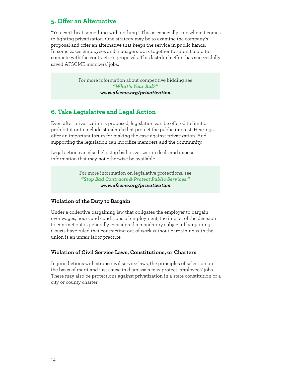#### **5. Offer an Alternative**

"You can't beat something with nothing." This is especially true when it comes to fighting privatization. One strategy may be to examine the company's proposal and offer an alternative that keeps the service in public hands. In some cases employees and managers work together to submit a bid to compete with the contractor's proposals. This last-ditch effort has successfully saved AFSCME members' jobs.

> For more information about competitive bidding see *"What's Your Bid?" www.afscme.org/privatization*

#### **6. Take Legislative and Legal Action**

Even after privatization is proposed, legislation can be offered to limit or prohibit it or to include standards that protect the public interest. Hearings offer an important forum for making the case against privatization. And supporting the legislation can mobilize members and the community.

Legal action can also help stop bad privatization deals and expose information that may not otherwise be available.

> For more information on legislative protections, see *"Stop Bad Contracts & Protect Public Services." www.afscme.org/privatization*

#### **Violation of the Duty to Bargain**

Under a collective bargaining law that obligates the employer to bargain over wages, hours and conditions of employment, the impact of the decision to contract out is generally considered a mandatory subject of bargaining. Courts have ruled that contracting out of work without bargaining with the union is an unfair labor practice.

#### **Violation of Civil Service Laws, Constitutions, or Charters**

In jurisdictions with strong civil service laws, the principles of selection on the basis of merit and just cause in dismissals may protect employees' jobs. There may also be protections against privatization in a state constitution or a city or county charter.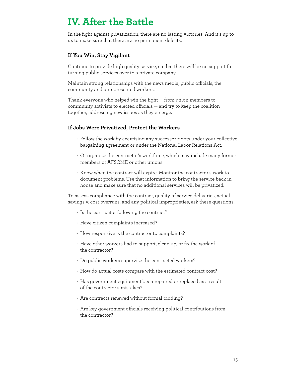## **IV. After the Battle**

In the fight against privatization, there are no lasting victories. And it's up to us to make sure that there are no permanent defeats.

#### **If You Win, Stay Vigilant**

Continue to provide high quality service, so that there will be no support for turning public services over to a private company.

Maintain strong relationships with the news media, public officials, the community and unrepresented workers.

Thank everyone who helped win the fight — from union members to community activists to elected officials — and try to keep the coalition together, addressing new issues as they emerge.

#### **If Jobs Were Privatized, Protect the Workers**

- Follow the work by exercising any successor rights under your collective bargaining agreement or under the National Labor Relations Act.
- Or organize the contractor's workforce, which may include many former members of AFSCME or other unions.
- Know when the contract will expire. Monitor the contractor's work to document problems. Use that information to bring the service back inhouse and make sure that no additional services will be privatized.

To assess compliance with the contract, quality of service deliveries, actual savings v. cost overruns, and any political improprieties, ask these questions:

- Is the contractor following the contract?
- Have citizen complaints increased?
- How responsive is the contractor to complaints?
- Have other workers had to support, clean up, or fix the work of the contractor?
- Do public workers supervise the contracted workers?
- How do actual costs compare with the estimated contract cost?
- Has government equipment been repaired or replaced as a result of the contractor's mistakes?
- Are contracts renewed without formal bidding?
- Are key government officials receiving political contributions from the contractor?